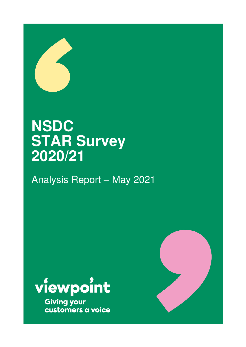

# **NSDC STAR Survey 2020/21**

Analysis Report – May 2021



**Giving your** customers a voice

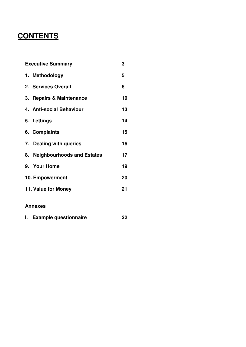# **CONTENTS**

| <b>Executive Summary</b>      | 3  |
|-------------------------------|----|
| 1. Methodology                | 5  |
| 2. Services Overall           | 6  |
| 3. Repairs & Maintenance      | 10 |
| 4. Anti-social Behaviour      | 13 |
| 5. Lettings                   | 14 |
| 6. Complaints                 | 15 |
| 7. Dealing with queries       | 16 |
| 8. Neighbourhoods and Estates | 17 |
| 9. Your Home                  | 19 |
| 10. Empowerment               | 20 |
| 11. Value for Money           | 21 |
|                               |    |

### **Annexes**

| L. | <b>Example questionnaire</b> |  |
|----|------------------------------|--|
|    |                              |  |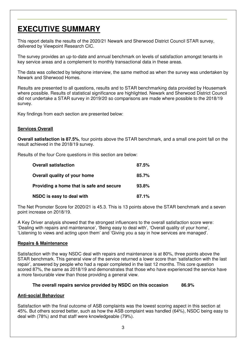# **EXECUTIVE SUMMARY**

This report details the results of the 2020/21 Newark and Sherwood District Council STAR survey, delivered by Viewpoint Research CIC.

The survey provides an up-to-date and annual benchmark on levels of satisfaction amongst tenants in key service areas and a complement to monthly transactional data in these areas.

The data was collected by telephone interview, the same method as when the survey was undertaken by Newark and Sherwood Homes.

Results are presented to all questions, results and to STAR benchmarking data provided by Housemark where possible. Results of statistical significance are highlighted. Newark and Sherwood District Council did not undertake a STAR survey in 2019/20 so comparisons are made where possible to the 2018/19 survey.

Key findings from each section are presented below:

#### **Services Overall**

**Overall satisfaction is 87.5%**, four points above the STAR benchmark, and a small one point fall on the result achieved in the 2018/19 survey.

Results of the four Core questions in this section are below:

| <b>Overall satisfaction</b>              | 87.5% |
|------------------------------------------|-------|
| Overall quality of your home             | 85.7% |
| Providing a home that is safe and secure | 93.8% |
| NSDC is easy to deal with                | 87.1% |

The Net Promoter Score for 2020/21 is 45.3. This is 13 points above the STAR benchmark and a seven point increase on 2018/19.

A Key Driver analysis showed that the strongest influencers to the overall satisfaction score were: 'Dealing with repairs and maintenance', 'Being easy to deal with', 'Overall quality of your home', 'Listening to views and acting upon them' and 'Giving you a say in how services are managed'.

#### **Repairs & Maintenance**

Satisfaction with the way NSDC deal with repairs and maintenance is at 80%, three points above the STAR benchmark. This general view of the service returned a lower score than 'satisfaction with the last repair', answered by people who had a repair completed in the last 12 months. This core question scored 87%, the same as 2018/19 and demonstrates that those who have experienced the service have a more favourable view than those providing a general view.

#### **The overall repairs service provided by NSDC on this occasion 86.9%**

#### **Anti-social Behaviour**

Satisfaction with the final outcome of ASB complaints was the lowest scoring aspect in this section at 45%. But others scored better, such as how the ASB complaint was handled (64%), NSDC being easy to deal with (78%) and that staff were knowledgeable (79%).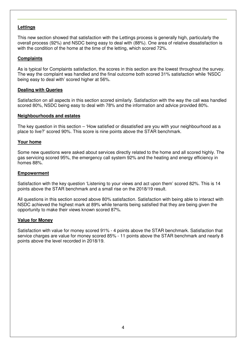#### **Lettings**

This new section showed that satisfaction with the Lettings process is generally high, particularly the overall process (92%) and NSDC being easy to deal with (88%). One area of relative dissatisfaction is with the condition of the home at the time of the letting, which scored 72%.

#### **Complaints**

As is typical for Complaints satisfaction, the scores in this section are the lowest throughout the survey. The way the complaint was handled and the final outcome both scored 31% satisfaction while 'NSDC being easy to deal with' scored higher at 56%.

#### **Dealing with Queries**

Satisfaction on all aspects in this section scored similarly. Satisfaction with the way the call was handled scored 80%, NSDC being easy to deal with 78% and the information and advice provided 80%.

#### **Neighbourhoods and estates**

The key question in this section – 'How satisfied or dissatisfied are you with your neighbourhood as a place to live?' scored 90%. This score is nine points above the STAR benchmark.

#### **Your home**

Some new questions were asked about services directly related to the home and all scored highly. The gas servicing scored 95%, the emergency call system 92% and the heating and energy efficiency in homes 88%.

#### **Empowerment**

Satisfaction with the key question 'Listening to your views and act upon them' scored 82%. This is 14 points above the STAR benchmark and a small rise on the 2018/19 result.

All questions in this section scored above 80% satisfaction. Satisfaction with being able to interact with NSDC achieved the highest mark at 89% while tenants being satisfied that they are being given the opportunity to make their views known scored 87%.

#### **Value for Money**

Satisfaction with value for money scored 91% - 4 points above the STAR benchmark. Satisfaction that service charges are value for money scored 85% - 11 points above the STAR benchmark and nearly 8 points above the level recorded in 2018/19.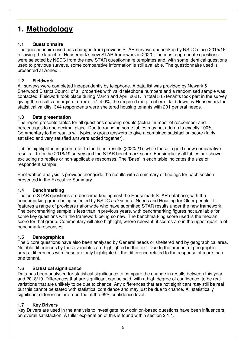# **1. Methodology**

### **1.1 Questionnaire**

The questionnaire used has changed from previous STAR surveys undertaken by NSDC since 2015/16, following the launch of Housemark's new STAR framework in 2020. The most appropriate questions were selected by NSDC from the new STAR questionnaire templates and, with some identical questions used to previous surveys, some comparative information is still available. The questionnaire used is presented at Annex I.

### **1.2 Fieldwork**

All surveys were completed independently by telephone. A data list was provided by Newark & Sherwood District Council of all properties with valid telephone numbers and a randomised sample was contacted. Fieldwork took place during March and April 2021. In total 545 tenants took part in the survey giving the results a margin of error of +/- 4.0%, the required margin of error laid down by Housemark for statistical validity. 344 respondents were sheltered housing tenants with 201 general needs.

### **1.3 Data presentation**

The report presents tables for all questions showing counts (actual number of responses) and percentages to one decimal place. Due to rounding some tables may not add up to exactly 100%. Commentary to the results will typically group answers to give a combined satisfaction score (fairly satisfied and very satisfied answers added together).

Tables highlighted in green refer to the latest results (2020/21), while those in gold show comparative results – from the 2018/19 survey and the STAR benchmark score. For simplicity all tables are shown excluding no replies or non-applicable responses. The 'Base' in each table indicates the size of respondent sample.

Brief written analysis is provided alongside the results with a summary of findings for each section presented in the Executive Summary.

### **1.4 Benchmarking**

The core STAR questions are benchmarked against the Housemark STAR database, with the benchmarking group being selected by NSDC as 'General Needs and Housing for Older people'. It features a range of providers nationwide who have submitted STAR results under the new framework. The benchmarking sample is less than in previous years, with benchmarking figures not available for some key questions with the framework being so new. The benchmarking score used is the median score for that group. Commentary will also highlight, where relevant, if scores are in the upper quartile of benchmark responses.

### **1.5 Demographics**

The 5 core questions have also been analysed by General needs or sheltered and by geographical area. Notable differences by these variables are highlighted in the text. Due to the amount of geographic areas, differences with these are only highlighted if the difference related to the response of more than one tenant.

### **1.6 Statistical significance**

Data has been analysed for statistical significance to compare the change in results between this year and 2018/19. Differences that are significant can be said, with a high degree of confidence, to be real variations that are unlikely to be due to chance. Any differences that are not significant *may* still be real but this cannot be stated with statistical confidence and may just be due to chance. All statistically significant differences are reported at the 95% confidence level.

### **1.7 Key Drivers**

Key Drivers are used in the analysis to investigate how opinion-based questions have been influencers on overall satisfaction. A fuller explanation of this is found within section 2.1.1.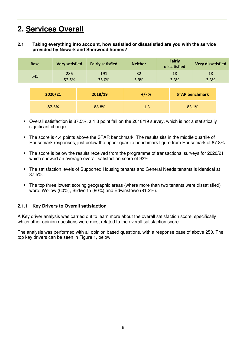# **2. Services Overall**

#### **2.1 Taking everything into account, how satisfied or dissatisfied are you with the service provided by Newark and Sherwood homes?**

| <b>Base</b> | <b>Very satisfied</b> | <b>Fairly satisfied</b> | <b>Neither</b> | <b>Fairly</b><br>dissatisfied | <b>Very dissatisfied</b> |  |
|-------------|-----------------------|-------------------------|----------------|-------------------------------|--------------------------|--|
| 545         | 286<br>52.5%          | 191<br>35.0%            | 32<br>5.9%     | 18<br>3.3%                    | 18<br>3.3%               |  |
|             | 2020/21               | 2018/19                 | $+/- %$        |                               | <b>STAR benchmark</b>    |  |
| 87.5%       |                       | 88.8%                   | $-1.3$         |                               | 83.1%                    |  |

- Overall satisfaction is 87.5%, a 1.3 point fall on the 2018/19 survey, which is not a statistically significant change.
- The score is 4.4 points above the STAR benchmark. The results sits in the middle quartile of Housemark responses, just below the upper quartile benchmark figure from Housemark of 87.8%.
- The score is below the results received from the programme of transactional surveys for 2020/21 which showed an average overall satisfaction score of 93%.
- The satisfaction levels of Supported Housing tenants and General Needs tenants is identical at 87.5%.
- The top three lowest scoring geographic areas (where more than two tenants were dissatisfied) were: Wellow (60%), Blidworth (80%) and Edwinstowe (81.3%).

#### **2.1.1 Key Drivers to Overall satisfaction**

A Key driver analysis was carried out to learn more about the overall satisfaction score, specifically which other opinion questions were most related to the overall satisfaction score.

The analysis was performed with all opinion based questions, with a response base of above 250. The top key drivers can be seen in Figure 1, below: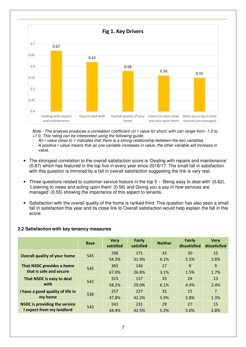

*Note - The analysis produces a correlation coefficient (or r value for short) with can range from -1.0 to +1.0. This rating can be interpreted using the following guide:* 

- *An r value close to 1 indicates that there is a strong relationship between the two variables*
- *A positive r value means that as one variable increases in value, the other variable will increase in value.*
- The strongest correlation to the overall satisfaction score is 'Dealing with repairs and maintenance' (0.67) which has featured in the top five in every year since 2016/17. The small fall in satisfaction with this question is mirrored by a fall in overall satisfaction suggesting the link is very real.
- Three questions related to customer service feature in the top 5 'Being easy to deal with' (0.62), 'Listening to views and acting upon them' (0.56) and Giving you a say in how services are managed' (0.55) showing the importance of this aspect to tenants.
- Satisfaction with the overall quality of the home is ranked third. This question has also seen a small fall in satisfaction this year and its close link to Overall satisfaction would help explain the fall in this score.

#### **2.2 Satisfaction with key tenancy measures**

|                                      | <b>Base</b> | <b>Very</b><br>satisfied | <b>Fairly</b><br>satisfied | <b>Neither</b> | <b>Fairly</b><br>dissatisfied | <b>Very</b><br>dissatisfied |
|--------------------------------------|-------------|--------------------------|----------------------------|----------------|-------------------------------|-----------------------------|
| Overall quality of your home         | 545         | 296                      | 171                        | 33             | 30                            | 15                          |
|                                      |             | 54.3%                    | 31.4%                      | 6.1%           | 5.5%                          | 2.8%                        |
| That NSDC provides a home            | 545         | 365                      | 146                        | 17             | 8                             | 9                           |
| that is safe and secure              |             | 67.0%                    | 26.8%                      | 3.1%           | 1.5%                          | 1.7%                        |
| That NSDC is easy to deal            | 542         | 315                      | 157                        | 33             | 24                            | 13                          |
| with                                 |             | 58.1%                    | 29.0%                      | 6.1%           | 4.4%                          | 2.4%                        |
| I have a good quality of life in     | 538         | 257                      | 227                        | 32             | 15                            | $\overline{7}$              |
| my home                              |             | 47.8%                    | 42.2%                      | 5.9%           | 2.8%                          | 1.3%                        |
| <b>NSDC is providing the service</b> |             | 241                      | 231                        | 29             | 27                            | 15                          |
| I expect from my landlord            | 543         | 44.4%                    | 42.5%                      | 5.3%           | 5.0%                          | 2.8%                        |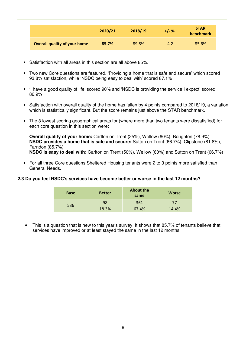|                                     | 2020/21 | 2018/19 | $+/- %$ | <b>STAR</b><br>benchmark |
|-------------------------------------|---------|---------|---------|--------------------------|
| <b>Overall quality of your home</b> | 85.7%   | 89.8%   | $-4.2$  | 85.6%                    |

- Satisfaction with all areas in this section are all above 85%.
- Two new Core questions are featured. 'Providing a home that is safe and secure' which scored 93.8% satisfaction, while 'NSDC being easy to deal with' scored 87.1%
- 'I have a good quality of life' scored 90% and 'NSDC is providing the service I expect' scored 86.9%
- Satisfaction with overall quality of the home has fallen by 4 points compared to 2018/19, a variation which is statistically significant. But the score remains just above the STAR benchmark.
- The 3 lowest scoring geographical areas for (where more than two tenants were dissatisfied) for each core question in this section were:

**Overall quality of your home:** Carlton on Trent (25%), Wellow (60%), Boughton (78.9%) **NSDC provides a home that is safe and secure:** Sutton on Trent (66.7%), Clipstone (81.8%), Farndon (85.7%) **NSDC is easy to deal with:** Carlton on Trent (50%), Wellow (60%) and Sutton on Trent (66.7%)

• For all three Core questions Sheltered Housing tenants were 2 to 3 points more satisfied than General Needs.

#### **2.3 Do you feel NSDC's services have become better or worse in the last 12 months?**

| <b>Base</b> | <b>Better</b> | <b>About the</b><br>same | <b>Worse</b> |
|-------------|---------------|--------------------------|--------------|
| 536         | 98            | 361                      | 77           |
|             | 18.3%         | 67.4%                    | 14.4%        |

• This is a question that is new to this year's survey. It shows that 85.7% of tenants believe that services have improved or at least stayed the same in the last 12 months.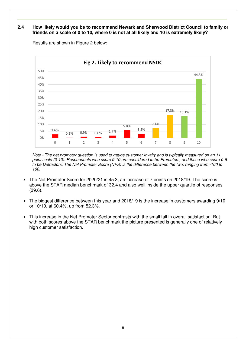#### **2.4 How likely would you be to recommend Newark and Sherwood District Council to family or friends on a scale of 0 to 10, where 0 is not at all likely and 10 is extremely likely?**



Results are shown in Figure 2 below:

*Note - The net promoter question is used to gauge customer loyalty and is typically measured on an 11 point scale (0-10). Respondents who score 9-10 are considered to be Promoters, and those who score 0-6 to be Detractors. The Net Promoter Score (NPS) is the difference between the two, ranging from -100 to 100.* 

- The Net Promoter Score for 2020/21 is 45.3, an increase of 7 points on 2018/19. The score is above the STAR median benchmark of 32.4 and also well inside the upper quartile of responses (39.6).
- The biggest difference between this year and 2018/19 is the increase in customers awarding 9/10 or 10/10, at 60.4%, up from 52.3%.
- This increase in the Net Promoter Sector contrasts with the small fall in overall satisfaction. But with both scores above the STAR benchmark the picture presented is generally one of relatively high customer satisfaction.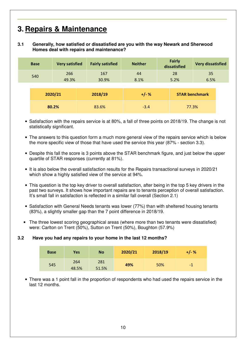# **3. Repairs & Maintenance**

#### **3.1 Generally, how satisfied or dissatisfied are you with the way Newark and Sherwood Homes deal with repairs and maintenance?**

|       | <b>Base</b> | <b>Very satisfied</b> | <b>Fairly satisfied</b> | <b>Neither</b> | <b>Fairly</b><br>dissatisfied | <b>Very dissatisfied</b> |  |
|-------|-------------|-----------------------|-------------------------|----------------|-------------------------------|--------------------------|--|
|       | 540         | 266<br>49.3%          | 167<br>30.9%            | 44<br>8.1%     | 28<br>5.2%                    | 35<br>6.5%               |  |
|       |             | 2020/21               | 2018/19                 | $+/- %$        |                               | <b>STAR benchmark</b>    |  |
| 80.2% |             | 83.6%                 | $-3.4$                  |                | 77.3%                         |                          |  |

- Satisfaction with the repairs service is at 80%, a fall of three points on 2018/19. The change is not statistically significant.
- The answers to this question form a much more general view of the repairs service which is below the more specific view of those that have used the service this year (87% - section 3.3).
- Despite this fall the score is 3 points above the STAR benchmark figure, and just below the upper quartile of STAR responses (currently at 81%).
- It is also below the overall satisfaction results for the Repairs transactional surveys in 2020/21 which show a highly satisfied view of the service at 94%.
- This question is the top key driver to overall satisfaction, after being in the top 5 key drivers in the past two surveys. It shows how important repairs are to tenants perception of overall satisfaction. It's small fall in satisfaction is reflected in a similar fall overall (Section 2.1)
- Satisfaction with General Needs tenants was lower (77%) than with sheltered housing tenants (83%), a slightly smaller gap than the 7 point difference in 2018/19.
- The three lowest scoring geographical areas (where more than two tenants were dissatisfied) were: Carlton on Trent (50%), Sutton on Trent (50%), Boughton (57.9%)

#### **3.2 Have you had any repairs to your home in the last 12 months?**

| <b>Base</b> | Yes          | <b>No</b>    | 2020/21 | 2018/19 | +/- % |
|-------------|--------------|--------------|---------|---------|-------|
| 545         | 264<br>48.5% | 281<br>51.5% | 49%     | 50%     | $-1$  |

• There was a 1 point fall in the proportion of respondents who had used the repairs service in the last 12 months.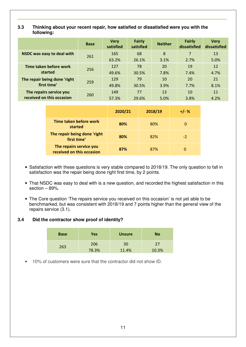#### **3.3 Thinking about your recent repair, how satisfied or dissatisfied were you with the following:**

|                              | <b>Base</b> | <b>Very</b><br>satisfied | <b>Fairly</b><br>satisfied | <b>Neither</b> | <b>Fairly</b><br>dissatisfied | <b>Verv</b><br>dissatisfied |
|------------------------------|-------------|--------------------------|----------------------------|----------------|-------------------------------|-----------------------------|
| NSDC was easy to deal with   | 261         | 165                      | 68                         | 8              |                               | 13                          |
|                              |             | 63.2%                    | 26.1%                      | 3.1%           | 2.7%                          | 5.0%                        |
| Time taken before work       | 256         | 127                      | 78                         | 20             | 19                            | 12                          |
| started                      |             | 49.6%                    | 30.5%                      | 7.8%           | 7.4%                          | 4.7%                        |
| The repair being done 'right | 259         | 129                      | 79                         | 10             | 20                            | 21                          |
| first time'                  |             | 49.8%                    | 30.5%                      | 3.9%           | 7.7%                          | 8.1%                        |
| The repairs service you      | 260         | 149                      | 77                         | 13             | 10                            | 11                          |
| received on this occasion    |             | 57.3%                    | 29.6%                      | 5.0%           | 3.8%                          | 4.2%                        |

|                                                      | 2020/21 | 2018/19 | $+/- %$ |
|------------------------------------------------------|---------|---------|---------|
| <b>Time taken before work</b><br>started             | 80%     | 80%     | O       |
| The repair being done 'right<br>first time'          | 80%     | 82%     | $-2$    |
| The repairs service you<br>received on this occasion | 87%     | 87%     | 0       |

- Satisfaction with these questions is very stable compared to 2018/19. The only question to fall in satisfaction was the repair being done right first time, by 2 points.
- That NSDC was easy to deal with is a new question, and recorded the highest satisfaction in this section – 89%.
- The Core question 'The repairs service you received on this occasion' is not yet able to be benchmarked, but was consistent with 2018/19 and 7 points higher than the general view of the repairs service (3.1).

#### **3.4 Did the contractor show proof of identity?**

| <b>Base</b> | Yes   | <b>Unsure</b> | <b>No</b> |
|-------------|-------|---------------|-----------|
| 263         | 206   | 30            | 27        |
|             | 78.3% | 11.4%         | 10.3%     |

• 10% of customers were sure that the contractor did not show ID.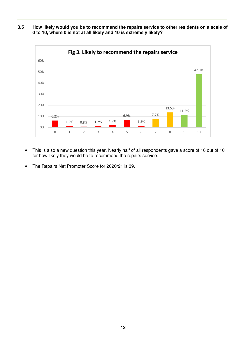**3.5 How likely would you be to recommend the repairs service to other residents on a scale of 0 to 10, where 0 is not at all likely and 10 is extremely likely?**



- This is also a new question this year. Nearly half of all respondents gave a score of 10 out of 10 for how likely they would be to recommend the repairs service.
- The Repairs Net Promoter Score for 2020/21 is 39.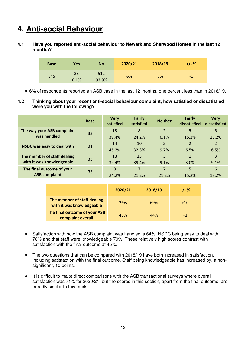# **4. Anti-social Behaviour**

#### **4.1 Have you reported anti-social behaviour to Newark and Sherwood Homes in the last 12 months?**

| <b>Base</b> | Yes        | <b>No</b>    | 2020/21 | 2018/19 | $+/-%$ |
|-------------|------------|--------------|---------|---------|--------|
| 545         | 33<br>6.1% | 512<br>93.9% | 6%      | 7%      | -1     |

• 6% of respondents reported an ASB case in the last 12 months, one percent less than in 2018/19.

**4.2 Thinking about your recent anti-social behaviour complaint, how satisfied or dissatisfied were you with the following?** 

|                                   | <b>Base</b> | <b>Very</b><br>satisfied | <b>Fairly</b><br>satisfied | <b>Neither</b> | <b>Fairly</b><br>dissatisfied | <b>Verv</b><br>dissatisfied |
|-----------------------------------|-------------|--------------------------|----------------------------|----------------|-------------------------------|-----------------------------|
| The way your ASB complaint        | 33          | 13                       | 8                          | $\overline{2}$ | 5                             | 5                           |
| was handled                       |             | 39.4%                    | 24.2%                      | 6.1%           | 15.2%                         | 15.2%                       |
|                                   | 31          | 14                       | 10                         | $\overline{3}$ | $\overline{2}$                | 2                           |
| <b>NSDC was easy to deal with</b> |             | 45.2%                    | 32.3%                      | 9.7%           | 6.5%                          | 6.5%                        |
| The member of staff dealing       |             | 13                       | 13                         | 3              | 1                             | 3                           |
| with it was knowledgeable         | 33          | 39.4%                    | 39.4%                      | 9.1%           | 3.0%                          | 9.1%                        |
| The final outcome of your         |             | 8                        |                            | $\overline{7}$ | 5                             | 6                           |
| <b>ASB complaint</b>              | 33          | 24.2%                    | 21.2%                      | 21.2%          | 15.2%                         | 18.2%                       |

|                                                          | 2020/21 | 2018/19 | $+/-$ % |
|----------------------------------------------------------|---------|---------|---------|
| The member of staff dealing<br>with it was knowledgeable | 79%     | 69%     | $+10$   |
| The final outcome of your ASB<br>complaint overall       | 45%     | 44%     | $+1$    |

- Satisfaction with how the ASB complaint was handled is 64%, NSDC being easy to deal with 78% and that staff were knowledgeable 79%. These relatively high scores contrast with satisfaction with the final outcome at 45%.
- The two questions that can be compared with 2018/19 have both increased in satisfaction, including satisfaction with the final outcome. Staff being knowledgeable has increased by, a nonsignificant, 10 points.
- It is difficult to make direct comparisons with the ASB transactional surveys where overall satisfaction was 71% for 2020/21, but the scores in this section, apart from the final outcome, are broadly similar to this mark.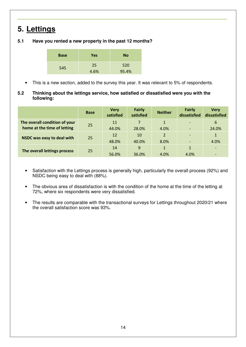# **5. Lettings**

### **5.1 Have you rented a new property in the past 12 months?**

| <b>Base</b> | Yes  | <b>No</b> |
|-------------|------|-----------|
| 545         | 25   | 520       |
|             | 4.6% | 95.4%     |

- This is a new section, added to the survey this year. It was relevant to 5% of respondents.
- **5.2 Thinking about the lettings service, how satisfied or dissatisfied were you with the following:**

|                               | <b>Base</b> | <b>Very</b><br>satisfied | <b>Fairly</b><br>satisfied | <b>Neither</b> | <b>Fairly</b><br>dissatisfied | <b>Very</b><br>dissatisfied |
|-------------------------------|-------------|--------------------------|----------------------------|----------------|-------------------------------|-----------------------------|
| The overall condition of your | 25          | 11                       |                            | $\mathbf{1}$   |                               | 6                           |
| home at the time of letting   |             | 44.0%                    | 28.0%                      | 4.0%           |                               | 24.0%                       |
| NSDC was easy to deal with    | 25          | 12                       | 10                         | $\overline{2}$ |                               | $\mathbf{1}$                |
|                               |             | 48.0%                    | 40.0%                      | 8.0%           |                               | 4.0%                        |
|                               | 25          | 14                       | 9                          |                |                               |                             |
| The overall lettings process  |             | 56.0%                    | 36.0%                      | 4.0%           | 4.0%                          |                             |

- Satisfaction with the Lettings process is generally high, particularly the overall process (92%) and NSDC being easy to deal with (88%).
- The obvious area of dissatisfaction is with the condition of the home at the time of the letting at 72%, where six respondents were very dissatisfied.
- The results are comparable with the transactional surveys for Lettings throughout 2020/21 where the overall satisfaction score was 93%.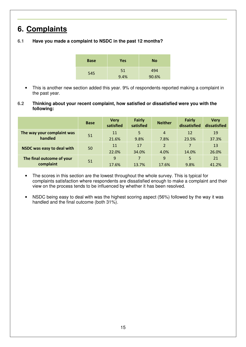# **6. Complaints**

### **6.1 Have you made a complaint to NSDC in the past 12 months?**

| <b>Base</b> | <b>Yes</b> | <b>No</b> |
|-------------|------------|-----------|
| 545         | 51         | 494       |
|             | 9.4%       | 90.6%     |

- This is another new section added this year. 9% of respondents reported making a complaint in the past year.
- **6.2 Thinking about your recent complaint, how satisfied or dissatisfied were you with the following:**

|                            | <b>Base</b> | <b>Very</b><br>satisfied | <b>Fairly</b><br>satisfied | <b>Neither</b> | <b>Fairly</b><br>dissatisfied | <b>Very</b><br>dissatisfied |
|----------------------------|-------------|--------------------------|----------------------------|----------------|-------------------------------|-----------------------------|
| The way your complaint was | 51          | 11                       | 5                          | 4              | 12                            | 19                          |
| handled                    |             | 21.6%                    | 9.8%                       | 7.8%           | 23.5%                         | 37.3%                       |
| NSDC was easy to deal with | 50          | 11                       | 17                         | $\overline{2}$ | 7                             | 13                          |
|                            |             | 22.0%                    | 34.0%                      | 4.0%           | 14.0%                         | 26.0%                       |
| The final outcome of your  |             | 9                        | 7                          | 9              | 5                             | 21                          |
| complaint                  | 51          | 17.6%                    | 13.7%                      | 17.6%          | 9.8%                          | 41.2%                       |

- The scores in this section are the lowest throughout the whole survey. This is typical for complaints satisfaction where respondents are dissatisfied enough to make a complaint and their view on the process tends to be influenced by whether it has been resolved.
- NSDC being easy to deal with was the highest scoring aspect (56%) followed by the way it was handled and the final outcome (both 31%).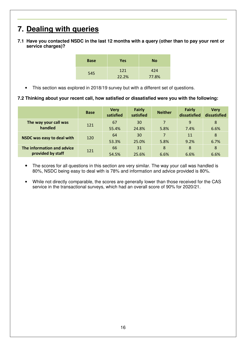# **7. Dealing with queries**

**7.1 Have you contacted NSDC in the last 12 months with a query (other than to pay your rent or service charges)?** 

| <b>Base</b> | Yes   | <b>No</b> |
|-------------|-------|-----------|
| 545         | 121   | 424       |
|             | 22.2% | 77.8%     |

• This section was explored in 2018/19 survey but with a different set of questions.

#### **7.2 Thinking about your recent call, how satisfied or dissatisfied were you with the following:**

|                            | <b>Base</b> | <b>Very</b><br>satisfied | <b>Fairly</b><br>satisfied | <b>Neither</b> | <b>Fairly</b><br>dissatisfied | <b>Very</b><br>dissatisfied |
|----------------------------|-------------|--------------------------|----------------------------|----------------|-------------------------------|-----------------------------|
| The way your call was      | 121         | 67                       | 30                         | $\overline{7}$ | 9                             | 8                           |
| handled                    |             | 55.4%                    | 24.8%                      | 5.8%           | 7.4%                          | 6.6%                        |
|                            | 120         | 64                       | 30                         | $\overline{7}$ | 11                            | 8                           |
| NSDC was easy to deal with |             | 53.3%                    | 25.0%                      | 5.8%           | 9.2%                          | 6.7%                        |
| The information and advice |             | 66                       | 31                         | 8              | 8                             | 8                           |
| provided by staff          | 121         | 54.5%                    | 25.6%                      | 6.6%           | 6.6%                          | 6.6%                        |

- The scores for all questions in this section are very similar. The way your call was handled is 80%, NSDC being easy to deal with is 78% and information and advice provided is 80%.
- While not directly comparable, the scores are generally lower than those received for the CAS service in the transactional surveys, which had an overall score of 90% for 2020/21.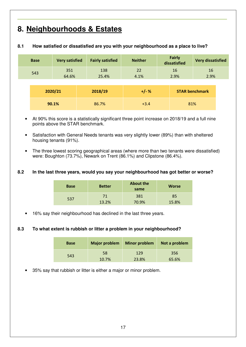### **8. Neighbourhoods & Estates**

| <b>Base</b> | <b>Very satisfied</b> | <b>Fairly satisfied</b> | <b>Neither</b> | <b>Fairly</b><br>dissatisfied | <b>Very dissatisfied</b> |  |
|-------------|-----------------------|-------------------------|----------------|-------------------------------|--------------------------|--|
| 543         | 351<br>64.6%          | 138<br>25.4%            | 22<br>4.1%     | 16<br>2.9%                    | <b>16</b><br>2.9%        |  |
|             | 2020/21               | 2018/19                 | $+/- %$        |                               | <b>STAR benchmark</b>    |  |
|             | 90.1%                 | 86.7%                   | $+3.4$         |                               | 81%                      |  |

#### **8.1 How satisfied or dissatisfied are you with your neighbourhood as a place to live?**

- At 90% this score is a statistically significant three point increase on 2018/19 and a full nine points above the STAR benchmark.
- Satisfaction with General Needs tenants was very slightly lower (89%) than with sheltered housing tenants (91%).
- The three lowest scoring geographical areas (where more than two tenants were dissatisfied) were: Boughton (73.7%), Newark on Trent (86.1%) and Clipstone (86.4%).

#### **8.2 In the last three years, would you say your neighbourhood has got better or worse?**

| <b>Base</b> | <b>Better</b> | <b>About the</b><br>same | <b>Worse</b> |
|-------------|---------------|--------------------------|--------------|
| 537         | 71            | 381                      | 85           |
|             | 13.2%         | 70.9%                    | 15.8%        |

16% say their neighbourhood has declined in the last three years.

#### **8.3 To what extent is rubbish or litter a problem in your neighbourhood?**

| <b>Base</b> | <b>Major problem</b> | <b>Minor problem</b> | Not a problem |
|-------------|----------------------|----------------------|---------------|
| 543         | 58                   | 129                  | 356           |
|             | 10.7%                | 23.8%                | 65.6%         |

• 35% say that rubbish or litter is either a major or minor problem.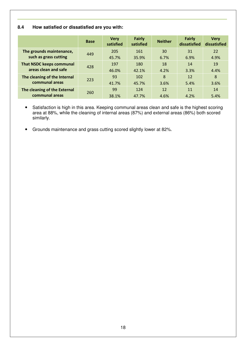### **8.4 How satisfied or dissatisfied are you with:**

|                                 | <b>Base</b> | <b>Very</b><br>satisfied | <b>Fairly</b><br>satisfied | <b>Neither</b> | <b>Fairly</b><br>dissatisfied | <b>Very</b><br>dissatisfied |
|---------------------------------|-------------|--------------------------|----------------------------|----------------|-------------------------------|-----------------------------|
| The grounds maintenance,        | 449         | 205                      | 161                        | 30             | 31                            | 22                          |
| such as grass cutting           |             | 45.7%                    | 35.9%                      | 6.7%           | 6.9%                          | 4.9%                        |
| <b>That NSDC keeps communal</b> | 428         | 197                      | 180                        | 18             | 14                            | 19                          |
| areas clean and safe            |             | 46.0%                    | 42.1%                      | 4.2%           | 3.3%                          | 4.4%                        |
| The cleaning of the Internal    |             | 93                       | 102                        | 8              | 12                            | 8                           |
| communal areas                  | 223         | 41.7%                    | 45.7%                      | 3.6%           | 5.4%                          | 3.6%                        |
| The cleaning of the External    |             | 99                       | 124                        | 12             | 11                            | 14                          |
| communal areas                  | 260         | 38.1%                    | 47.7%                      | 4.6%           | 4.2%                          | 5.4%                        |

• Satisfaction is high in this area. Keeping communal areas clean and safe is the highest scoring area at 88%, while the cleaning of internal areas (87%) and external areas (86%) both scored similarly.

• Grounds maintenance and grass cutting scored slightly lower at 82%.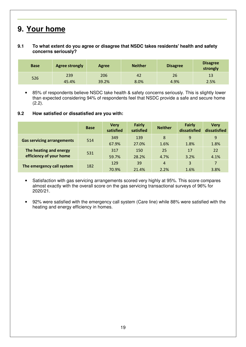### **9. Your home**

#### **9.1 To what extent do you agree or disagree that NSDC takes residents' health and safety concerns seriously?**

| <b>Base</b> | <b>Agree strongly</b> | Agree | <b>Neither</b> | <b>Disagree</b> | <b>Disagree</b><br>strongly |
|-------------|-----------------------|-------|----------------|-----------------|-----------------------------|
| 526         | 239                   | 206   | 42             | 26              | 13                          |
|             | 45.4%                 | 39.2% | 8.0%           | 4.9%            | 2.5%                        |

• 85% of respondents believe NSDC take health & safety concerns seriously. This is slightly lower than expected considering 94% of respondents feel that NSDC provide a safe and secure home (2.2).

#### **9.2 How satisfied or dissatisfied are you with:**

|                                   | <b>Base</b> | <b>Very</b><br>satisfied | <b>Fairly</b><br>satisfied | <b>Neither</b> | <b>Fairly</b><br>dissatisfied | <b>Very</b><br>dissatisfied |
|-----------------------------------|-------------|--------------------------|----------------------------|----------------|-------------------------------|-----------------------------|
| <b>Gas servicing arrangements</b> | 514         | 349                      | 139                        | 8              | 9                             | 9                           |
|                                   |             | 67.9%                    | 27.0%                      | 1.6%           | 1.8%                          | 1.8%                        |
| The heating and energy            | 531         | 317                      | 150                        | 25             | 17                            | 22                          |
| efficiency of your home           |             | 59.7%                    | 28.2%                      | 4.7%           | 3.2%                          | 4.1%                        |
| The emergency call system         | 182         | 129                      | 39                         | $\overline{4}$ | 3                             | 7                           |
|                                   |             | 70.9%                    | 21.4%                      | 2.2%           | 1.6%                          | 3.8%                        |

- Satisfaction with gas servicing arrangements scored very highly at 95%. This score compares almost exactly with the overall score on the gas servicing transactional surveys of 96% for 2020/21.
- 92% were satisfied with the emergency call system (Care line) while 88% were satisfied with the heating and energy efficiency in homes.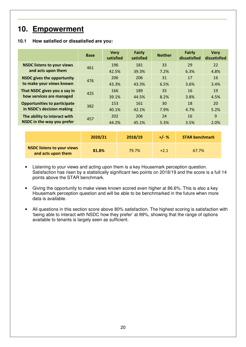### 10. Empowerment

#### **10.1 How satisfied or dissatisfied are you:**

|                                     | <b>Base</b> | <b>Very</b><br>satisfied | <b>Fairly</b><br>satisfied | <b>Neither</b> | <b>Fairly</b><br>dissatisfied | <b>Very</b><br>dissatisfied |
|-------------------------------------|-------------|--------------------------|----------------------------|----------------|-------------------------------|-----------------------------|
| <b>NSDC listens to your views</b>   | 461         | 196                      | 181                        | 33             | 29                            | 22                          |
| and acts upon them                  |             | 42.5%                    | 39.3%                      | 7.2%           | 6.3%                          | 4.8%                        |
| <b>NSDC gives the opportunity</b>   | 476         | 206                      | 206                        | 31             | 17                            | 16                          |
| to make your views known            |             | 43.3%                    | 43.3%                      | 6.5%           | 3.6%                          | 3.4%                        |
| That NSDC gives you a say in        | 425         | 166                      | 189                        | 35             | 16                            | 19                          |
| how services are managed            |             | 39.1%                    | 44.5%                      | 8.2%           | 3.8%                          | 4.5%                        |
| <b>Opportunities to participate</b> | 382         | 153                      | 161                        | 30             | 18                            | 20                          |
| in NSDC's decision making           |             | 40.1%                    | 42.1%                      | 7.9%           | 4.7%                          | 5.2%                        |
| The ability to interact with        | 457         | 202                      | 206                        | 24             | 16                            | 9                           |
| NSDC in the way you prefer          |             | 44.2%                    | 45.1%                      | 5.3%           | 3.5%                          | 2.0%                        |
|                                     |             |                          |                            |                |                               |                             |
|                                     | 2020/21     |                          | 2018/19                    | $+/- %$        | <b>STAR benchmark</b>         |                             |
| <b>NSDC listens to your views</b>   |             |                          |                            |                |                               |                             |

Listening to your views and acting upon them is a key Housemark perception question. Satisfaction has risen by a statistically significant two points on 2018/19 and the score is a full 14 points above the STAR benchmark.

**and acts upon them <b>81.8%** 1.8% 1.8% +2.1 67.7%

- Giving the opportunity to make views known scored even higher at 86.6%. This is also a key Housemark perception question and will be able to be benchmarked in the future when more data is available.
- All questions in this section score above 80% satisfaction. The highest scoring is satisfaction with 'being able to interact with NSDC how they prefer' at 89%, showing that the range of options available to tenants is largely seen as sufficient.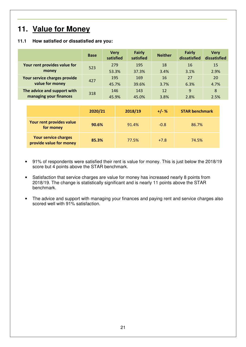### **11. Value for Money**

#### **11.1 How satisfied or dissatisfied are you:**

|                              | <b>Base</b> | <b>Very</b><br>satisfied | <b>Fairly</b><br>satisfied | <b>Neither</b> | <b>Fairly</b><br>dissatisfied | <b>Verv</b><br>dissatisfied |
|------------------------------|-------------|--------------------------|----------------------------|----------------|-------------------------------|-----------------------------|
| Your rent provides value for | 523         | 279                      | 195                        | 18             | 16                            | 15                          |
| money                        |             | 53.3%                    | 37.3%                      | 3.4%           | 3.1%                          | 2.9%                        |
| Your service charges provide |             | 195                      | 169                        | 16             | 27                            | 20                          |
| value for money              | 427         | 45.7%                    | 39.6%                      | 3.7%           | 6.3%                          | 4.7%                        |
| The advice and support with  | 318         | 146                      | 143                        | 12             | 9                             | 8                           |
| managing your finances       |             | 45.9%                    | 45.0%                      | 3.8%           | 2.8%                          | 2.5%                        |

|                                                        | 2020/21 | 2018/19 | $+/- %$ | <b>STAR benchmark</b> |
|--------------------------------------------------------|---------|---------|---------|-----------------------|
| Your rent provides value<br>for money                  | 90.6%   | 91.4%   | $-0.8$  | 86.7%                 |
| <b>Your service charges</b><br>provide value for money | 85.3%   | 77.5%   | $+7.8$  | 74.5%                 |

- 91% of respondents were satisfied their rent is value for money. This is just below the 2018/19 score but 4 points above the STAR benchmark.
- Satisfaction that service charges are value for money has increased nearly 8 points from 2018/19. The change is statistically significant and is nearly 11 points above the STAR benchmark.
- The advice and support with managing your finances and paying rent and service charges also scored well with 91% satisfaction.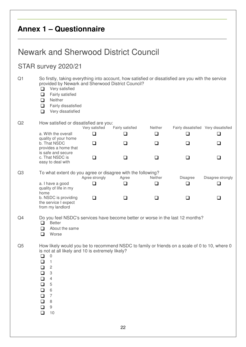# **Annex 1 – Questionnaire**

# Newark and Sherwood District Council

### STAR survey 2020/21

| Q1             | Very satisfied<br>❏<br>Fairly satisfied<br>❏<br>Neither<br>❏<br>❏<br>Fairly dissatisfied<br>Very dissatisfied<br>❏                                                                             | So firstly, taking everything into account, how satisfied or dissatisfied are you with the service<br>provided by Newark and Sherwood District Council? |                  |         |                                       |                   |
|----------------|------------------------------------------------------------------------------------------------------------------------------------------------------------------------------------------------|---------------------------------------------------------------------------------------------------------------------------------------------------------|------------------|---------|---------------------------------------|-------------------|
| Q2             |                                                                                                                                                                                                | How satisfied or dissatisfied are you:<br>Very satisfied                                                                                                | Fairly satisfied | Neither | Fairly dissatisfied Very dissatisfied |                   |
|                | a. With the overall<br>quality of your home                                                                                                                                                    | □                                                                                                                                                       | ❏                | ❏       | ப                                     | ❏                 |
|                | b. That NSDC<br>provides a home that                                                                                                                                                           | ப                                                                                                                                                       | ❏                | ◻       | ◻                                     | ◻                 |
|                | is safe and secure<br>c. That NSDC is                                                                                                                                                          | □                                                                                                                                                       | ❏                | ப       | □                                     | ❏                 |
| Q3             | easy to deal with                                                                                                                                                                              | To what extent do you agree or disagree with the following?<br>Agree strongly                                                                           | Agree            | Neither | Disagree                              | Disagree strongly |
|                | a. I have a good<br>quality of life in my<br>home                                                                                                                                              | l 1                                                                                                                                                     | ❏                | ◻       | ப                                     | ❏                 |
|                | b. NSDC is providing<br>the service I expect<br>from my landlord                                                                                                                               | □                                                                                                                                                       | ❏                | ப       | ப                                     | ப                 |
| Q <sub>4</sub> | <b>Better</b><br>◻<br>About the same<br>◻<br>Worse<br>□                                                                                                                                        | Do you feel NSDC's services have become better or worse in the last 12 months?                                                                          |                  |         |                                       |                   |
| Q <sub>5</sub> | 0<br>$\Box$<br>$\Box$ 1<br>2<br>❏<br>$\Box$<br>3<br>$\overline{4}$<br>❏<br>$\mathbf 5$<br>$\Box$<br>6<br>$\Box$<br>$\overline{7}$<br>$\Box$<br>$\,8\,$<br>$\Box$<br>$\hbox{9}$<br>❏<br>10<br>□ | How likely would you be to recommend NSDC to family or friends on a scale of 0 to 10, where 0<br>is not at all likely and 10 is extremely likely?       |                  |         |                                       |                   |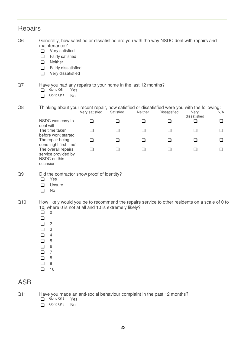| <b>Repairs</b> |                                                                                                                                                                                                                                                                                                                                                                  |                |           |         |              |                      |        |
|----------------|------------------------------------------------------------------------------------------------------------------------------------------------------------------------------------------------------------------------------------------------------------------------------------------------------------------------------------------------------------------|----------------|-----------|---------|--------------|----------------------|--------|
| Q <sub>6</sub> | Generally, how satisfied or dissatisfied are you with the way NSDC deal with repairs and<br>maintenance?<br>$\Box$<br>Very satisfied<br>Fairly satisfied<br>$\Box$<br>Neither<br>❏<br>Fairly dissatisfied<br>$\Box$<br>Very dissatisfied<br>❏                                                                                                                    |                |           |         |              |                      |        |
| Q7             | Have you had any repairs to your home in the last 12 months?<br>Go to Q8<br>Yes<br>□<br>Go to Q11<br><b>No</b><br>□                                                                                                                                                                                                                                              |                |           |         |              |                      |        |
| Q8             | Thinking about your recent repair, how satisfied or dissatisfied were you with the following:                                                                                                                                                                                                                                                                    | Very satisfied | Satisfied | Neither | Dissatisfied | Very<br>dissatisfied | N/A    |
|                | NSDC was easy to                                                                                                                                                                                                                                                                                                                                                 | ❏              | $\Box$    | ❏       | ❏            | $\Box$               | ❏      |
|                | deal with<br>The time taken<br>before work started                                                                                                                                                                                                                                                                                                               | ❏              | $\Box$    | ❏       | $\Box$       | $\Box$               | $\Box$ |
|                | The repair being                                                                                                                                                                                                                                                                                                                                                 | ❏              | ❏         | ப       | $\Box$       | ◻                    | ❏      |
|                | done 'right first time'<br>The overall repairs<br>service provided by<br>NSDC on this<br>occasion                                                                                                                                                                                                                                                                | ❏              | ❏         | ❏       | ❏            | ❏                    | ❏      |
| Q <sub>9</sub> | Did the contractor show proof of identity?<br>Yes<br>❏<br>Unsure<br>❏<br>No<br>❏                                                                                                                                                                                                                                                                                 |                |           |         |              |                      |        |
| Q10            | How likely would you be to recommend the repairs service to other residents on a scale of 0 to<br>10, where 0 is not at all and 10 is extremely likely?<br>$\overline{0}$<br>❏<br>$\Box$<br>$\mathbf{1}$<br>$\Box$<br>$\overline{c}$<br>3<br>$\Box$<br>$\overline{4}$<br>$\Box$<br>$\Box$<br>5<br>$\Box$<br>6<br>$\Box$<br>7<br>❏<br>8<br>9<br>❏<br>10<br>$\Box$ |                |           |         |              |                      |        |
| <b>ASB</b>     |                                                                                                                                                                                                                                                                                                                                                                  |                |           |         |              |                      |        |
| Q11            | Have you made an anti-social behaviour complaint in the past 12 months?<br>Go to Q12<br>Yes<br>n<br>Go to Q13<br>No<br>∩                                                                                                                                                                                                                                         |                |           |         |              |                      |        |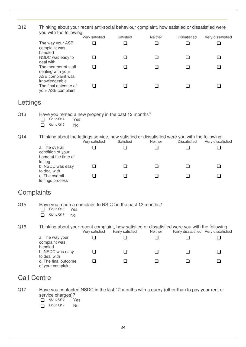|                    | you with the following:                                                                                                                                                 |                | Thinking about your recent anti-social behaviour complaint, how satisfied or dissatisfied were |         |                     |                                       |
|--------------------|-------------------------------------------------------------------------------------------------------------------------------------------------------------------------|----------------|------------------------------------------------------------------------------------------------|---------|---------------------|---------------------------------------|
|                    |                                                                                                                                                                         | Very satisfied | Satisfied                                                                                      | Neither | Dissatisfied        | Very dissatisfied                     |
|                    | The way your ASB<br>complaint was<br>handled                                                                                                                            | $\Box$         | $\Box$                                                                                         | $\Box$  | $\Box$              | $\Box$                                |
|                    | NSDC was easy to<br>deal with                                                                                                                                           | $\Box$         | □                                                                                              | ◻       | ◻                   | ❏                                     |
|                    | The member of staff<br>dealing with your<br>ASB complaint was                                                                                                           | $\Box$         | n                                                                                              | □       | ◻                   | □                                     |
|                    | knowledgeable<br>The final outcome of<br>your ASB complaint                                                                                                             | $\Box$         | $\Box$                                                                                         | ◻       | ◻                   | ❏                                     |
| Lettings           |                                                                                                                                                                         |                |                                                                                                |         |                     |                                       |
| Q13                | Have you rented a new property in the past 12 months?<br>Go to Q14<br>⊓<br>Yes<br>Go to Q15<br><b>No</b><br>□                                                           |                |                                                                                                |         |                     |                                       |
| Q14                | Thinking about the lettings service, how satisfied or dissatisfied were you with the following:                                                                         | Very satisfied | Satisfied                                                                                      | Neither | <b>Dissatisfied</b> | Very dissatisfied                     |
|                    | a. The overall<br>condition of your<br>home at the time of<br>letting                                                                                                   | ❏              | ❏                                                                                              | $\Box$  | ◻                   | ❏                                     |
|                    | b. NSDC was easy                                                                                                                                                        | $\Box$         | $\overline{\phantom{a}}$                                                                       | . .     | ⊔                   | □                                     |
|                    | to deal with<br>c. The overall<br>lettings process                                                                                                                      | ❏              | □                                                                                              | □       | □                   | □                                     |
| Complaints         |                                                                                                                                                                         |                |                                                                                                |         |                     |                                       |
| Q15                | Have you made a complaint to NSDC in the past 12 months?<br>Go to Q16<br>Yes<br>⊓<br>Go to Q17<br><b>No</b><br>П                                                        |                |                                                                                                |         |                     |                                       |
| Q16                | Thinking about your recent complaint, how satisfied or dissatisfied were you with the following:                                                                        | Very satisfied | Fairly satisfied                                                                               | Neither |                     | Fairly dissatisfied Very dissatisfied |
|                    | a. The way your<br>complaint was<br>handled                                                                                                                             | $\Box$         | $\Box$                                                                                         | $\Box$  | ❏                   | $\Box$                                |
|                    | b. NSDC was easy                                                                                                                                                        | ❏              | ◻                                                                                              | ◻       | ❏                   | ❏                                     |
|                    | to deal with<br>c. The final outcome<br>of your complaint                                                                                                               | ❏              | ◻                                                                                              | ❏       | ❏                   | ❏                                     |
| <b>Call Centre</b> |                                                                                                                                                                         |                |                                                                                                |         |                     |                                       |
| Q17                | Have you contacted NSDC in the last 12 months with a query (other than to pay your rent or<br>service charges)?<br>Go to Q18<br>⊓<br>Yes<br>Go to Q19<br><b>No</b><br>□ |                |                                                                                                |         |                     |                                       |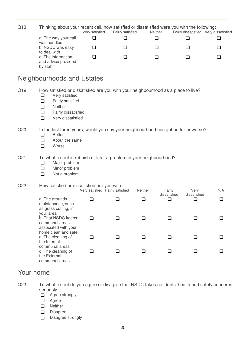| Q18             | Thinking about your recent call, how satisfied or dissatisfied were you with the following:                                                                                                                            | Very satisfied | Fairly satisfied                |         | Neither                | Fairly dissatisfied Very dissatisfied |        |
|-----------------|------------------------------------------------------------------------------------------------------------------------------------------------------------------------------------------------------------------------|----------------|---------------------------------|---------|------------------------|---------------------------------------|--------|
|                 | a. The way your call                                                                                                                                                                                                   | □              | ❏                               |         | ❏                      | ❏                                     | ❏      |
|                 | was handled<br>b. NSDC was easy                                                                                                                                                                                        | $\Box$         | $\Box$                          |         | ❏                      | ❏                                     | ❏      |
|                 | to deal with<br>c. The information<br>and advice provided<br>by staff                                                                                                                                                  | $\Box$         | ❏                               |         | □                      | ❏                                     | ❏      |
|                 | Neighbourhoods and Estates                                                                                                                                                                                             |                |                                 |         |                        |                                       |        |
| Q19             | How satisfied or dissatisfied are you with your neighbourhood as a place to live?<br>Very satisfied<br>❏<br>Fairly satisfied<br>❏<br>Neither<br>$\Box$<br>$\Box$<br>Fairly dissatisfied<br>Very dissatisfied<br>$\Box$ |                |                                 |         |                        |                                       |        |
| Q <sub>20</sub> | In the last three years, would you say your neighbourhood has got better or worse?<br><b>Better</b><br>⊔<br>About the same<br>❏<br>Worse<br>❏                                                                          |                |                                 |         |                        |                                       |        |
| Q <sub>21</sub> | To what extent is rubbish or litter a problem in your neighbourhood?<br>Major problem<br>$\Box$<br>Minor problem<br>$\Box$<br>Not a problem<br>❏                                                                       |                |                                 |         |                        |                                       |        |
| Q <sub>22</sub> | How satisfied or dissatisfied are you with:                                                                                                                                                                            |                | Very satisfied Fairly satisfied | Neither | Fairly                 | Very                                  | N/A    |
|                 | a. The grounds<br>maintenance, such<br>as grass cutting, in                                                                                                                                                            | ❏              | ⊔                               | ❏       | dissatisfied<br>$\Box$ | dissatisfied<br>$\Box$                | ❏      |
|                 | your area<br>b. That NSDC keeps<br>communal areas<br>associated with your                                                                                                                                              | $\Box$         | ◻                               | $\Box$  | П                      | ⊓                                     | ⊓      |
|                 | home clean and safe<br>c. The cleaning of<br>the Internal                                                                                                                                                              | ❏              | □                               | ◻       | □                      | $\Box$                                | $\Box$ |
|                 | communal areas<br>d. The cleaning of<br>the External<br>communal areas                                                                                                                                                 | ◻              | ப                               | l 1     | l I                    |                                       | l I    |

### Your home

Q23 To what extent do you agree or disagree that NSDC takes residents' health and safety concerns seriously.

- Agree strongly
- **D** Agree
- □ Neither
- Disagree
- Disagree strongly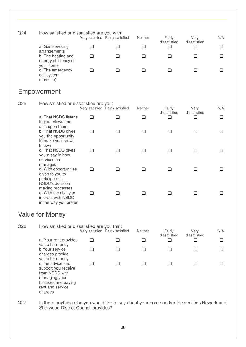| Q <sub>24</sub> | How satisfied or dissatisfied are you with:             |  |                                 |                |                        |                      |     |  |  |  |  |
|-----------------|---------------------------------------------------------|--|---------------------------------|----------------|------------------------|----------------------|-----|--|--|--|--|
|                 |                                                         |  | Very satisfied Fairly satisfied | <b>Neither</b> | Fairly<br>dissatisfied | Very<br>dissatisfied | N/A |  |  |  |  |
|                 | a. Gas servicing<br>arrangements                        |  |                                 |                |                        |                      |     |  |  |  |  |
|                 | b. The heating and<br>energy efficiency of<br>your home |  |                                 |                |                        |                      |     |  |  |  |  |
|                 | c. The emergency<br>call system<br>(careline).          |  |                                 |                |                        |                      |     |  |  |  |  |

### Empowerment

| Q <sub>25</sub>                                                                                                                                                                            | How satisfied or dissatisfied are you:                                                    | Very satisfied Fairly satisfied |        | Neither | Fairly<br>dissatisfied | Very<br>dissatisfied | N/A |
|--------------------------------------------------------------------------------------------------------------------------------------------------------------------------------------------|-------------------------------------------------------------------------------------------|---------------------------------|--------|---------|------------------------|----------------------|-----|
|                                                                                                                                                                                            | a. That NSDC listens<br>to your views and<br>acts upon them                               | $\Box$                          | $\Box$ | ❏       | ❏                      | ❏                    | ❏   |
|                                                                                                                                                                                            | b. That NSDC gives<br>you the opportunity<br>to make your views<br>known                  | ◻                               | ப      | ❏       | ❏                      | ❏                    | □   |
|                                                                                                                                                                                            | c. That NSDC gives<br>you a say in how<br>services are<br>managed                         | □                               | $\Box$ | $\Box$  | <b>□</b>               | ❏                    | ❏   |
|                                                                                                                                                                                            | d. With opportunities<br>given to you to<br>participate in<br>NSDC's decision             | П                               | П      | ❏       | ⊓                      | H                    | □   |
|                                                                                                                                                                                            | making processes<br>e. With the ability to<br>interact with NSDC<br>in the way you prefer | П                               | l 1    | ப       | ப                      | ப                    |     |
|                                                                                                                                                                                            | <b>Value for Money</b>                                                                    |                                 |        |         |                        |                      |     |
| Q26                                                                                                                                                                                        | How satisfied or dissatisfied are you that:                                               | Very satisfied Fairly satisfied |        | Neither | Fairly<br>dissatisfied | Very<br>dissatisfied | N/A |
|                                                                                                                                                                                            | a. Your rent provides<br>value for money                                                  | ⊓                               | l 1    | ❏       | ❏                      | ❏                    | ❏   |
| b. Your service<br>charges provide<br>value for money<br>c. the advice and<br>support you receive<br>from NSDC with<br>managing your<br>finances and paying<br>rent and service<br>charges | ❏                                                                                         | ∩                               | $\Box$ | □       | □                      | $\Box$               |     |
|                                                                                                                                                                                            | □                                                                                         | ı                               | ❏      | l 1     | ❏                      | □                    |     |

Q27 Is there anything else you would like to say about your home and/or the services Newark and Sherwood District Council provides?